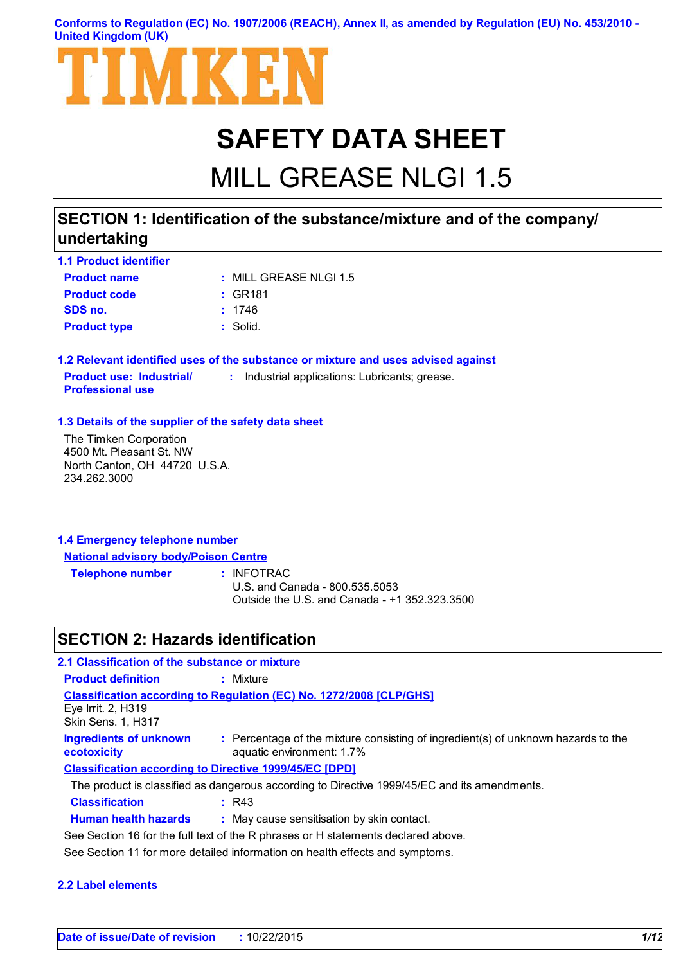**Conforms to Regulation (EC) No. 1907/2006 (REACH), Annex II, as amended by Regulation (EU) No. 453/2010 - United Kingdom (UK)**



# **SAFETY DATA SHEET**

# MILL GREASE NLGI 1.5

## **SECTION 1: Identification of the substance/mixture and of the company/ undertaking**

| <b>1.1 Product identifier</b> |                           |
|-------------------------------|---------------------------|
| <b>Product name</b>           | $\pm$ MILL GREASE NLGL1.5 |
| <b>Product code</b>           | : GR181                   |
| SDS no.                       | : 1746                    |
| <b>Product type</b>           | : Solid.                  |

**1.2 Relevant identified uses of the substance or mixture and uses advised against Product use: Industrial/ Professional use :** Industrial applications: Lubricants; grease.

#### **1.3 Details of the supplier of the safety data sheet**

The Timken Corporation 4500 Mt. Pleasant St. NW North Canton, OH 44720 U.S.A. 234.262.3000

| 1.4 Emergency telephone number              |  |
|---------------------------------------------|--|
| <b>National advisory body/Poison Centre</b> |  |

**Telephone number :**

: INFOTRAC

U.S. and Canada - 800.535.5053 Outside the U.S. and Canada - +1 352.323.3500

### **SECTION 2: Hazards identification**

| 2.1 Classification of the substance or mixture  |                                                                                                                |
|-------------------------------------------------|----------------------------------------------------------------------------------------------------------------|
| <b>Product definition</b>                       | : Mixture                                                                                                      |
| Eye Irrit. 2, H319<br><b>Skin Sens. 1, H317</b> | <b>Classification according to Regulation (EC) No. 1272/2008 [CLP/GHS]</b>                                     |
| <b>Ingredients of unknown</b><br>ecotoxicity    | : Percentage of the mixture consisting of ingredient(s) of unknown hazards to the<br>aquatic environment: 1.7% |
|                                                 | <b>Classification according to Directive 1999/45/EC [DPD]</b>                                                  |
|                                                 | The product is classified as dangerous according to Directive 1999/45/EC and its amendments.                   |
| <b>Classification</b>                           | R43                                                                                                            |
| <b>Human health hazards</b>                     | : May cause sensitisation by skin contact.                                                                     |
|                                                 | See Section 16 for the full text of the R phrases or H statements declared above.                              |
|                                                 | See Section 11 for more detailed information on health effects and symptoms.                                   |

#### **2.2 Label elements**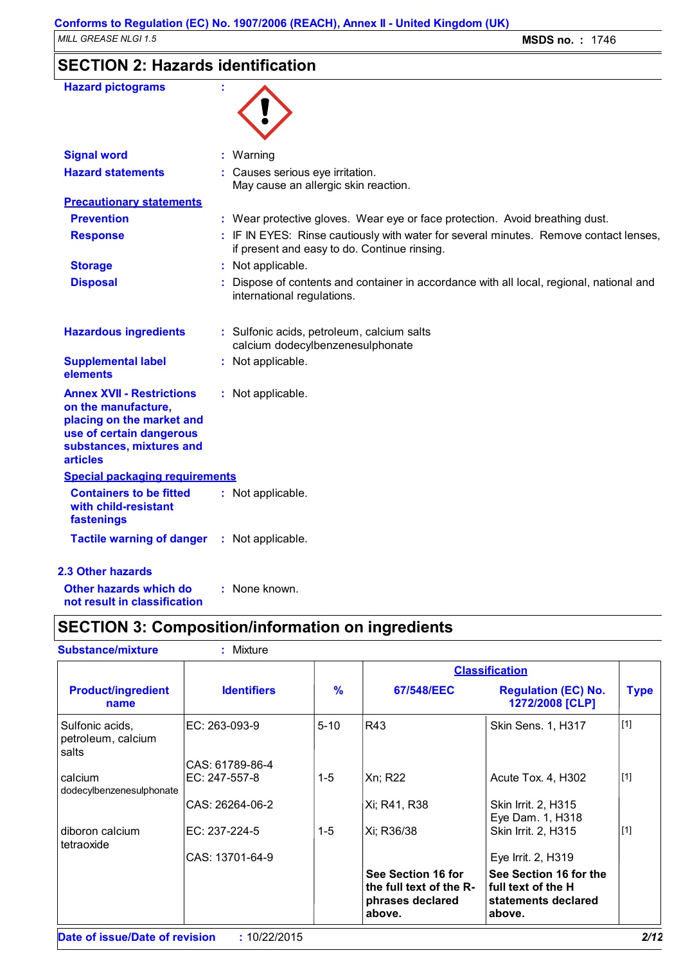## **SECTION 2: Hazards identification**

| <b>Hazard pictograms</b>                                                                                                                                        |                                                                                                                                       |
|-----------------------------------------------------------------------------------------------------------------------------------------------------------------|---------------------------------------------------------------------------------------------------------------------------------------|
| <b>Signal word</b>                                                                                                                                              | : Warning                                                                                                                             |
| <b>Hazard statements</b>                                                                                                                                        | : Causes serious eye irritation.<br>May cause an allergic skin reaction.                                                              |
| <b>Precautionary statements</b>                                                                                                                                 |                                                                                                                                       |
| <b>Prevention</b>                                                                                                                                               | : Wear protective gloves. Wear eye or face protection. Avoid breathing dust.                                                          |
| <b>Response</b>                                                                                                                                                 | : IF IN EYES: Rinse cautiously with water for several minutes. Remove contact lenses,<br>if present and easy to do. Continue rinsing. |
| <b>Storage</b>                                                                                                                                                  | : Not applicable.                                                                                                                     |
| <b>Disposal</b>                                                                                                                                                 | : Dispose of contents and container in accordance with all local, regional, national and<br>international regulations.                |
| <b>Hazardous ingredients</b>                                                                                                                                    | : Sulfonic acids, petroleum, calcium salts<br>calcium dodecylbenzenesulphonate                                                        |
| <b>Supplemental label</b><br>elements                                                                                                                           | : Not applicable.                                                                                                                     |
| <b>Annex XVII - Restrictions</b><br>on the manufacture,<br>placing on the market and<br>use of certain dangerous<br>substances, mixtures and<br><b>articles</b> | : Not applicable.                                                                                                                     |
| <b>Special packaging requirements</b>                                                                                                                           |                                                                                                                                       |
| <b>Containers to be fitted</b><br>with child-resistant<br>fastenings                                                                                            | : Not applicable.                                                                                                                     |
| <b>Tactile warning of danger</b>                                                                                                                                | : Not applicable.                                                                                                                     |
| <b>2.3 Other hazards</b>                                                                                                                                        |                                                                                                                                       |
| Other hazards which do                                                                                                                                          | : None known.                                                                                                                         |

**not result in classification**

## **SECTION 3: Composition/information on ingredients**

| <b>Substance/mixture</b>                       | : Mixture          |               |                                                                             |                                                                               |             |
|------------------------------------------------|--------------------|---------------|-----------------------------------------------------------------------------|-------------------------------------------------------------------------------|-------------|
|                                                |                    |               | <b>Classification</b>                                                       |                                                                               |             |
| <b>Product/ingredient</b><br>name              | <b>Identifiers</b> | $\frac{9}{6}$ | 67/548/EEC                                                                  | <b>Regulation (EC) No.</b><br>1272/2008 [CLP]                                 | <b>Type</b> |
| Sulfonic acids,<br>petroleum, calcium<br>salts | EC: 263-093-9      | $5 - 10$      | R43                                                                         | Skin Sens. 1, H317                                                            | $[1]$       |
|                                                | CAS: 61789-86-4    |               |                                                                             |                                                                               |             |
| calcium<br>dodecylbenzenesulphonate            | EC: 247-557-8      | $1-5$         | Xn; R22                                                                     | Acute Tox. 4, H302                                                            | $[1]$       |
|                                                | CAS: 26264-06-2    |               | Xi; R41, R38                                                                | Skin Irrit. 2, H315<br>Eye Dam. 1, H318                                       |             |
| diboron calcium<br>tetraoxide                  | EC: 237-224-5      | $1-5$         | Xi; R36/38                                                                  | Skin Irrit. 2, H315                                                           | $[1]$       |
|                                                | CAS: 13701-64-9    |               |                                                                             | Eye Irrit. 2, H319                                                            |             |
|                                                |                    |               | See Section 16 for<br>the full text of the R-<br>phrases declared<br>above. | See Section 16 for the<br>full text of the H<br>statements declared<br>above. |             |
| Date of issue/Date of revision                 | : 10/22/2015       |               |                                                                             |                                                                               | 2/12        |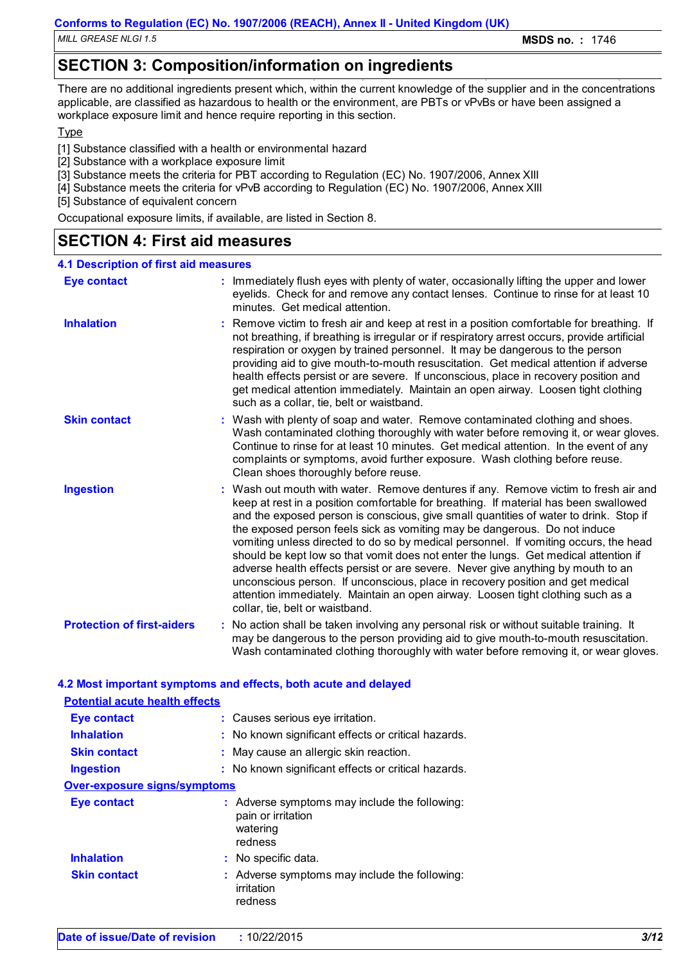*MILL GREASE NLGI 1.5* **MSDS no. :** 1746

## **SECTION 3: Composition/information on ingredients**

There are no additional ingredients present which, within the current knowledge of the supplier and in the concentrations applicable, are classified as hazardous to health or the environment, are PBTs or vPvBs or have been assigned a workplace exposure limit and hence require reporting in this section.

Type

- [1] Substance classified with a health or environmental hazard
- [2] Substance with a workplace exposure limit
- [3] Substance meets the criteria for PBT according to Regulation (EC) No. 1907/2006, Annex XIII
- [4] Substance meets the criteria for vPvB according to Regulation (EC) No. 1907/2006, Annex XIII

[5] Substance of equivalent concern

Occupational exposure limits, if available, are listed in Section 8.

### **SECTION 4: First aid measures**

| <b>4.1 Description of first aid measures</b> |                                                                                                                                                                                                                                                                                                                                                                                                                                                                                                                                                                                                                                                                                                                                                                                                                              |
|----------------------------------------------|------------------------------------------------------------------------------------------------------------------------------------------------------------------------------------------------------------------------------------------------------------------------------------------------------------------------------------------------------------------------------------------------------------------------------------------------------------------------------------------------------------------------------------------------------------------------------------------------------------------------------------------------------------------------------------------------------------------------------------------------------------------------------------------------------------------------------|
| <b>Eye contact</b>                           | : Immediately flush eyes with plenty of water, occasionally lifting the upper and lower<br>eyelids. Check for and remove any contact lenses. Continue to rinse for at least 10<br>minutes. Get medical attention.                                                                                                                                                                                                                                                                                                                                                                                                                                                                                                                                                                                                            |
| <b>Inhalation</b>                            | : Remove victim to fresh air and keep at rest in a position comfortable for breathing. If<br>not breathing, if breathing is irregular or if respiratory arrest occurs, provide artificial<br>respiration or oxygen by trained personnel. It may be dangerous to the person<br>providing aid to give mouth-to-mouth resuscitation. Get medical attention if adverse<br>health effects persist or are severe. If unconscious, place in recovery position and<br>get medical attention immediately. Maintain an open airway. Loosen tight clothing<br>such as a collar, tie, belt or waistband.                                                                                                                                                                                                                                 |
| <b>Skin contact</b>                          | : Wash with plenty of soap and water. Remove contaminated clothing and shoes.<br>Wash contaminated clothing thoroughly with water before removing it, or wear gloves.<br>Continue to rinse for at least 10 minutes. Get medical attention. In the event of any<br>complaints or symptoms, avoid further exposure. Wash clothing before reuse.<br>Clean shoes thoroughly before reuse.                                                                                                                                                                                                                                                                                                                                                                                                                                        |
| <b>Ingestion</b>                             | : Wash out mouth with water. Remove dentures if any. Remove victim to fresh air and<br>keep at rest in a position comfortable for breathing. If material has been swallowed<br>and the exposed person is conscious, give small quantities of water to drink. Stop if<br>the exposed person feels sick as vomiting may be dangerous. Do not induce<br>vomiting unless directed to do so by medical personnel. If vomiting occurs, the head<br>should be kept low so that vomit does not enter the lungs. Get medical attention if<br>adverse health effects persist or are severe. Never give anything by mouth to an<br>unconscious person. If unconscious, place in recovery position and get medical<br>attention immediately. Maintain an open airway. Loosen tight clothing such as a<br>collar, tie, belt or waistband. |
| <b>Protection of first-aiders</b>            | : No action shall be taken involving any personal risk or without suitable training. It<br>may be dangerous to the person providing aid to give mouth-to-mouth resuscitation.<br>Wash contaminated clothing thoroughly with water before removing it, or wear gloves.                                                                                                                                                                                                                                                                                                                                                                                                                                                                                                                                                        |

| <b>Potential acute health effects</b>                                                      |
|--------------------------------------------------------------------------------------------|
| : Causes serious eye irritation.                                                           |
| : No known significant effects or critical hazards.                                        |
| : May cause an allergic skin reaction.                                                     |
| : No known significant effects or critical hazards.                                        |
| <b>Over-exposure signs/symptoms</b>                                                        |
| : Adverse symptoms may include the following:<br>pain or irritation<br>watering<br>redness |
| : No specific data.                                                                        |
| : Adverse symptoms may include the following:<br>irritation<br>redness                     |
|                                                                                            |

**4.2 Most important symptoms and effects, both acute and delayed**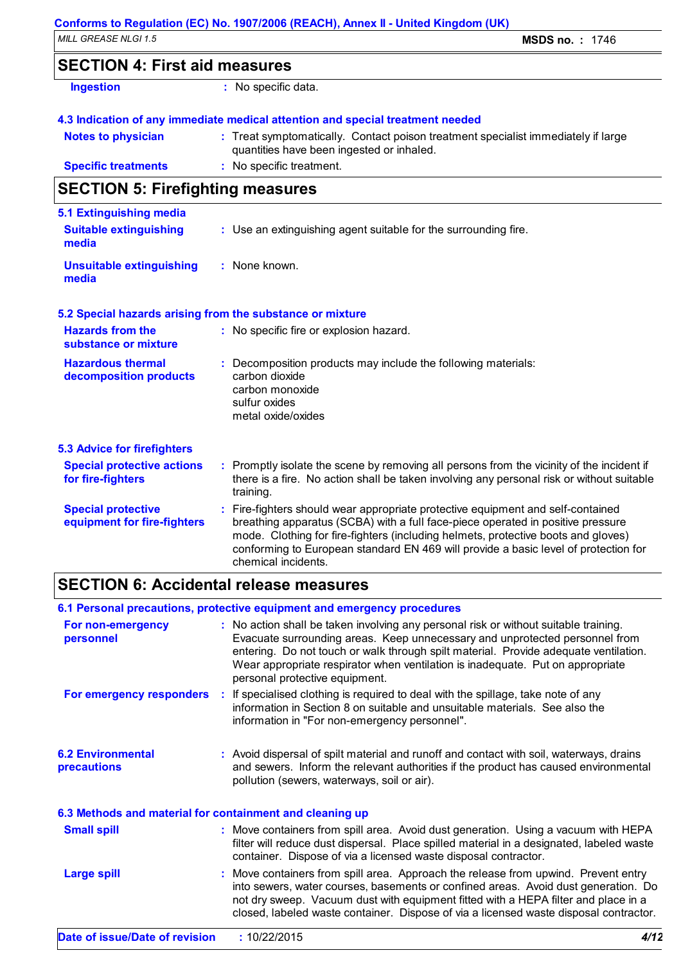### **SECTION 4: First aid measures**

| <b>Ingestion</b> |  |
|------------------|--|
|                  |  |

**:** No specific data.

#### **4.3 Indication of any immediate medical attention and special treatment needed**

| <b>Notes to physician</b>  | : Treat symptomatically. Contact poison treatment specialist immediately if large |
|----------------------------|-----------------------------------------------------------------------------------|
|                            | quantities have been ingested or inhaled.                                         |
| <b>Specific treatments</b> | : No specific treatment.                                                          |

## **SECTION 5: Firefighting measures**

| 5.1 Extinguishing media<br><b>Suitable extinguishing</b><br>media |               | : Use an extinguishing agent suitable for the surrounding fire.                                                                                                                                                                                                                                                                                                     |  |
|-------------------------------------------------------------------|---------------|---------------------------------------------------------------------------------------------------------------------------------------------------------------------------------------------------------------------------------------------------------------------------------------------------------------------------------------------------------------------|--|
| <b>Unsuitable extinguishing</b><br>media                          | : None known. |                                                                                                                                                                                                                                                                                                                                                                     |  |
| 5.2 Special hazards arising from the substance or mixture         |               |                                                                                                                                                                                                                                                                                                                                                                     |  |
| <b>Hazards from the</b><br>substance or mixture                   |               | : No specific fire or explosion hazard.                                                                                                                                                                                                                                                                                                                             |  |
| <b>Hazardous thermal</b><br>decomposition products                |               | Decomposition products may include the following materials:<br>carbon dioxide<br>carbon monoxide<br>sulfur oxides<br>metal oxide/oxides                                                                                                                                                                                                                             |  |
| <b>5.3 Advice for firefighters</b>                                |               |                                                                                                                                                                                                                                                                                                                                                                     |  |
| <b>Special protective actions</b><br>for fire-fighters            |               | : Promptly isolate the scene by removing all persons from the vicinity of the incident if<br>there is a fire. No action shall be taken involving any personal risk or without suitable<br>training.                                                                                                                                                                 |  |
| <b>Special protective</b><br>equipment for fire-fighters          |               | Fire-fighters should wear appropriate protective equipment and self-contained<br>breathing apparatus (SCBA) with a full face-piece operated in positive pressure<br>mode. Clothing for fire-fighters (including helmets, protective boots and gloves)<br>conforming to European standard EN 469 will provide a basic level of protection for<br>chemical incidents. |  |

## **SECTION 6: Accidental release measures**

|                                                          | 6.1 Personal precautions, protective equipment and emergency procedures                                                                                                                                                                                                                                                                                                         |  |  |
|----------------------------------------------------------|---------------------------------------------------------------------------------------------------------------------------------------------------------------------------------------------------------------------------------------------------------------------------------------------------------------------------------------------------------------------------------|--|--|
| For non-emergency<br>personnel                           | : No action shall be taken involving any personal risk or without suitable training.<br>Evacuate surrounding areas. Keep unnecessary and unprotected personnel from<br>entering. Do not touch or walk through spilt material. Provide adequate ventilation.<br>Wear appropriate respirator when ventilation is inadequate. Put on appropriate<br>personal protective equipment. |  |  |
| For emergency responders                                 | : If specialised clothing is required to deal with the spillage, take note of any<br>information in Section 8 on suitable and unsuitable materials. See also the<br>information in "For non-emergency personnel".                                                                                                                                                               |  |  |
| <b>6.2 Environmental</b><br>precautions                  | : Avoid dispersal of spilt material and runoff and contact with soil, waterways, drains<br>and sewers. Inform the relevant authorities if the product has caused environmental<br>pollution (sewers, waterways, soil or air).                                                                                                                                                   |  |  |
| 6.3 Methods and material for containment and cleaning up |                                                                                                                                                                                                                                                                                                                                                                                 |  |  |
| <b>Small spill</b>                                       | : Move containers from spill area. Avoid dust generation. Using a vacuum with HEPA<br>filter will reduce dust dispersal. Place spilled material in a designated, labeled waste<br>container. Dispose of via a licensed waste disposal contractor.                                                                                                                               |  |  |
| <b>Large spill</b>                                       | : Move containers from spill area. Approach the release from upwind. Prevent entry<br>into sewers, water courses, basements or confined areas. Avoid dust generation. Do<br>not dry sweep. Vacuum dust with equipment fitted with a HEPA filter and place in a<br>closed, labeled waste container. Dispose of via a licensed waste disposal contractor.                         |  |  |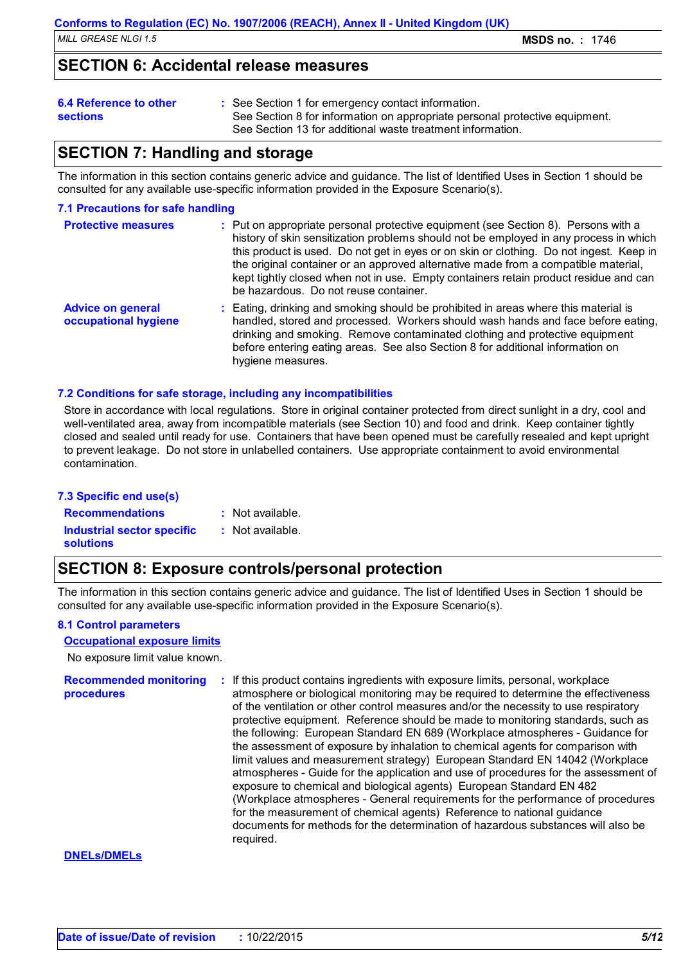### **SECTION 6: Accidental release measures**

#### **6.4 Reference to other**

- See Section 1 for emergency contact information. **:**
- **sections**
- See Section 8 for information on appropriate personal protective equipment. See Section 13 for additional waste treatment information.

### **SECTION 7: Handling and storage**

The information in this section contains generic advice and guidance. The list of Identified Uses in Section 1 should be consulted for any available use-specific information provided in the Exposure Scenario(s).

#### **7.1 Precautions for safe handling**

| <b>Protective measures</b>                       | : Put on appropriate personal protective equipment (see Section 8). Persons with a<br>history of skin sensitization problems should not be employed in any process in which<br>this product is used. Do not get in eyes or on skin or clothing. Do not ingest. Keep in<br>the original container or an approved alternative made from a compatible material,<br>kept tightly closed when not in use. Empty containers retain product residue and can<br>be hazardous. Do not reuse container. |
|--------------------------------------------------|-----------------------------------------------------------------------------------------------------------------------------------------------------------------------------------------------------------------------------------------------------------------------------------------------------------------------------------------------------------------------------------------------------------------------------------------------------------------------------------------------|
| <b>Advice on general</b><br>occupational hygiene | : Eating, drinking and smoking should be prohibited in areas where this material is<br>handled, stored and processed. Workers should wash hands and face before eating,<br>drinking and smoking. Remove contaminated clothing and protective equipment<br>before entering eating areas. See also Section 8 for additional information on<br>hygiene measures.                                                                                                                                 |

#### **7.2 Conditions for safe storage, including any incompatibilities**

Store in accordance with local regulations. Store in original container protected from direct sunlight in a dry, cool and well-ventilated area, away from incompatible materials (see Section 10) and food and drink. Keep container tightly closed and sealed until ready for use. Containers that have been opened must be carefully resealed and kept upright to prevent leakage. Do not store in unlabelled containers. Use appropriate containment to avoid environmental contamination.

#### **7.3 Specific end use(s)**

**Recommendations : Industrial sector specific : solutions**

- : Not available.
- : Not available.

## **SECTION 8: Exposure controls/personal protection**

The information in this section contains generic advice and guidance. The list of Identified Uses in Section 1 should be consulted for any available use-specific information provided in the Exposure Scenario(s).

#### **8.1 Control parameters**

#### **Occupational exposure limits**

No exposure limit value known.

**Recommended monitoring procedures :** If this product contains ingredients with exposure limits, personal, workplace atmosphere or biological monitoring may be required to determine the effectiveness of the ventilation or other control measures and/or the necessity to use respiratory protective equipment. Reference should be made to monitoring standards, such as the following: European Standard EN 689 (Workplace atmospheres - Guidance for the assessment of exposure by inhalation to chemical agents for comparison with limit values and measurement strategy) European Standard EN 14042 (Workplace atmospheres - Guide for the application and use of procedures for the assessment of exposure to chemical and biological agents) European Standard EN 482 (Workplace atmospheres - General requirements for the performance of procedures for the measurement of chemical agents) Reference to national guidance documents for methods for the determination of hazardous substances will also be required.

#### **DNELs/DMELs**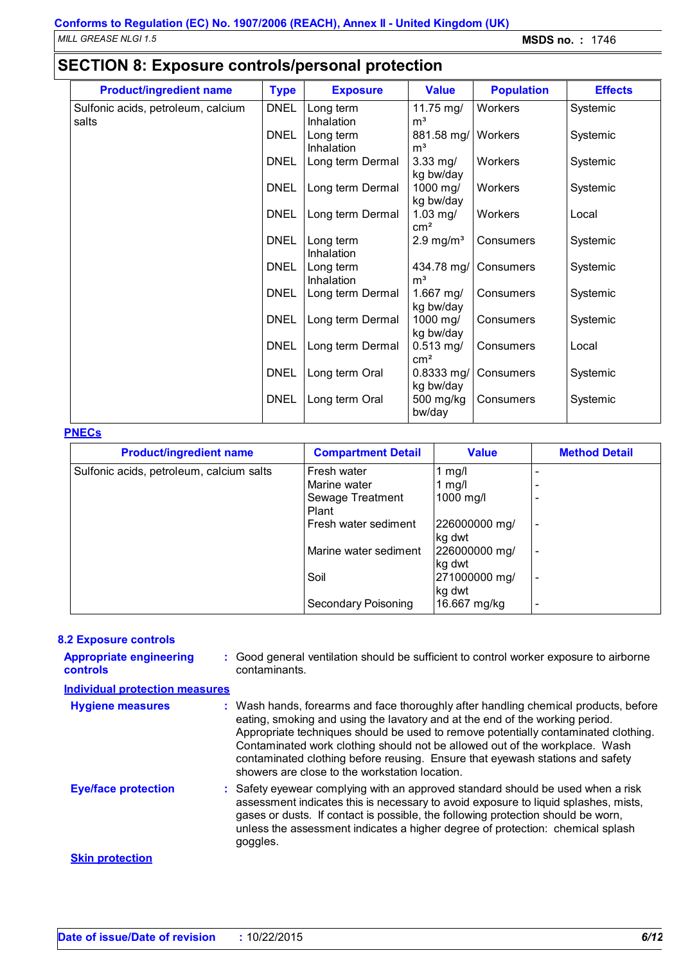## **SECTION 8: Exposure controls/personal protection**

| <b>Product/ingredient name</b>     | <b>Type</b> | <b>Exposure</b>                | <b>Value</b>                     | <b>Population</b> | <b>Effects</b> |
|------------------------------------|-------------|--------------------------------|----------------------------------|-------------------|----------------|
| Sulfonic acids, petroleum, calcium | <b>DNEL</b> | Long term                      | 11.75 mg/                        | Workers           | Systemic       |
| salts                              |             | Inhalation                     | m <sup>3</sup>                   |                   |                |
|                                    | <b>DNEL</b> | Long term                      | 881.58 mg/                       | Workers           | Systemic       |
|                                    | <b>DNEL</b> | Inhalation<br>Long term Dermal | m <sup>3</sup><br>$3.33$ mg/     | Workers           | Systemic       |
|                                    |             |                                | kg bw/day                        |                   |                |
|                                    | <b>DNEL</b> | Long term Dermal               | 1000 mg/                         | Workers           | Systemic       |
|                                    |             |                                | kg bw/day                        |                   |                |
|                                    | <b>DNEL</b> | Long term Dermal               | $1.03$ mg/<br>$\rm cm^2$         | Workers           | Local          |
|                                    | <b>DNEL</b> | Long term                      | $2.9 \text{ mg/m}^3$             | Consumers         | Systemic       |
|                                    |             | <b>Inhalation</b>              |                                  |                   |                |
|                                    | <b>DNEL</b> | Long term                      | 434.78 mg/                       | Consumers         | Systemic       |
|                                    |             | Inhalation                     | m <sup>3</sup>                   |                   |                |
|                                    | <b>DNEL</b> | Long term Dermal               | 1.667 mg/<br>kg bw/day           | Consumers         | Systemic       |
|                                    | <b>DNEL</b> | Long term Dermal               | 1000 mg/                         | Consumers         | Systemic       |
|                                    |             |                                | kg bw/day                        |                   |                |
|                                    | <b>DNEL</b> | Long term Dermal               | $0.513$ mg/<br>$\text{cm}^2$     | Consumers         | Local          |
|                                    | <b>DNEL</b> | Long term Oral                 | $0.8333$ mg/                     | Consumers         | Systemic       |
|                                    | <b>DNEL</b> | Long term Oral                 | kg bw/day<br>500 mg/kg<br>bw/day | Consumers         | Systemic       |

#### **PNECs**

| <b>Product/ingredient name</b>           | <b>Compartment Detail</b>  | <b>Value</b>              | <b>Method Detail</b>         |
|------------------------------------------|----------------------------|---------------------------|------------------------------|
| Sulfonic acids, petroleum, calcium salts | Fresh water                | $~\mathsf{mg}/\mathsf{l}$ |                              |
|                                          | Marine water               | mg/l                      |                              |
|                                          | Sewage Treatment           | 1000 mg/l                 |                              |
|                                          | Plant                      |                           |                              |
|                                          | Fresh water sediment       | 226000000 mg/             | $\qquad \qquad \blacksquare$ |
|                                          |                            | kg dwt                    |                              |
|                                          | Marine water sediment      | 226000000 mg/             |                              |
|                                          |                            | kg dwt                    |                              |
|                                          | Soil                       | 271000000 mg/             | -                            |
|                                          |                            | kg dwt                    |                              |
|                                          | <b>Secondary Poisoning</b> | 16.667 mg/kg              |                              |

#### **8.2 Exposure controls**

| <b>Appropriate engineering</b><br><b>controls</b> | : Good general ventilation should be sufficient to control worker exposure to airborne<br>contaminants.                                                                                                                                                                                                                                                                                                                                                                     |
|---------------------------------------------------|-----------------------------------------------------------------------------------------------------------------------------------------------------------------------------------------------------------------------------------------------------------------------------------------------------------------------------------------------------------------------------------------------------------------------------------------------------------------------------|
| <b>Individual protection measures</b>             |                                                                                                                                                                                                                                                                                                                                                                                                                                                                             |
| <b>Hygiene measures</b>                           | : Wash hands, forearms and face thoroughly after handling chemical products, before<br>eating, smoking and using the lavatory and at the end of the working period.<br>Appropriate techniques should be used to remove potentially contaminated clothing.<br>Contaminated work clothing should not be allowed out of the workplace. Wash<br>contaminated clothing before reusing. Ensure that eyewash stations and safety<br>showers are close to the workstation location. |
| <b>Eye/face protection</b>                        | : Safety eyewear complying with an approved standard should be used when a risk<br>assessment indicates this is necessary to avoid exposure to liquid splashes, mists,<br>gases or dusts. If contact is possible, the following protection should be worn,<br>unless the assessment indicates a higher degree of protection: chemical splash<br>goggles.                                                                                                                    |
| <b>Skin protection</b>                            |                                                                                                                                                                                                                                                                                                                                                                                                                                                                             |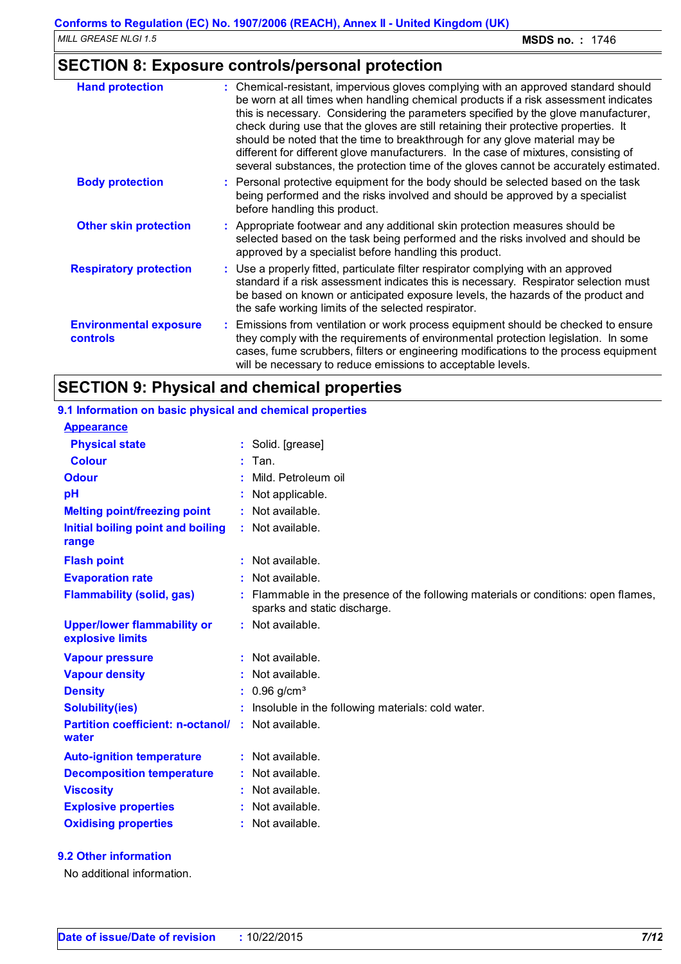## **SECTION 8: Exposure controls/personal protection**

| <b>Hand protection</b>                           | : Chemical-resistant, impervious gloves complying with an approved standard should<br>be worn at all times when handling chemical products if a risk assessment indicates<br>this is necessary. Considering the parameters specified by the glove manufacturer,<br>check during use that the gloves are still retaining their protective properties. It<br>should be noted that the time to breakthrough for any glove material may be<br>different for different glove manufacturers. In the case of mixtures, consisting of<br>several substances, the protection time of the gloves cannot be accurately estimated. |
|--------------------------------------------------|------------------------------------------------------------------------------------------------------------------------------------------------------------------------------------------------------------------------------------------------------------------------------------------------------------------------------------------------------------------------------------------------------------------------------------------------------------------------------------------------------------------------------------------------------------------------------------------------------------------------|
| <b>Body protection</b>                           | : Personal protective equipment for the body should be selected based on the task<br>being performed and the risks involved and should be approved by a specialist<br>before handling this product.                                                                                                                                                                                                                                                                                                                                                                                                                    |
| <b>Other skin protection</b>                     | : Appropriate footwear and any additional skin protection measures should be<br>selected based on the task being performed and the risks involved and should be<br>approved by a specialist before handling this product.                                                                                                                                                                                                                                                                                                                                                                                              |
| <b>Respiratory protection</b>                    | : Use a properly fitted, particulate filter respirator complying with an approved<br>standard if a risk assessment indicates this is necessary. Respirator selection must<br>be based on known or anticipated exposure levels, the hazards of the product and<br>the safe working limits of the selected respirator.                                                                                                                                                                                                                                                                                                   |
| <b>Environmental exposure</b><br><b>controls</b> | : Emissions from ventilation or work process equipment should be checked to ensure<br>they comply with the requirements of environmental protection legislation. In some<br>cases, fume scrubbers, filters or engineering modifications to the process equipment<br>will be necessary to reduce emissions to acceptable levels.                                                                                                                                                                                                                                                                                        |

## **SECTION 9: Physical and chemical properties**

| 9.1 Information on basic physical and chemical properties |                                                                                                                  |
|-----------------------------------------------------------|------------------------------------------------------------------------------------------------------------------|
| <b>Appearance</b>                                         |                                                                                                                  |
| <b>Physical state</b>                                     | : Solid. [grease]                                                                                                |
| <b>Colour</b>                                             | Tan.                                                                                                             |
| <b>Odour</b>                                              | Mild. Petroleum oil                                                                                              |
| pH                                                        | Not applicable.                                                                                                  |
| <b>Melting point/freezing point</b>                       | : Not available.                                                                                                 |
| Initial boiling point and boiling<br>range                | : Not available.                                                                                                 |
| <b>Flash point</b>                                        | $:$ Not available.                                                                                               |
| <b>Evaporation rate</b>                                   | : Not available.                                                                                                 |
| <b>Flammability (solid, gas)</b>                          | Flammable in the presence of the following materials or conditions: open flames,<br>sparks and static discharge. |
| <b>Upper/lower flammability or</b><br>explosive limits    | : Not available.                                                                                                 |
| <b>Vapour pressure</b>                                    | $:$ Not available.                                                                                               |
| <b>Vapour density</b>                                     | Not available.                                                                                                   |
| <b>Density</b>                                            | $0.96$ g/cm <sup>3</sup>                                                                                         |
| <b>Solubility(ies)</b>                                    | Insoluble in the following materials: cold water.                                                                |
| <b>Partition coefficient: n-octanol/</b><br>water         | $:$ Not available.                                                                                               |
| <b>Auto-ignition temperature</b>                          | $:$ Not available.                                                                                               |
| <b>Decomposition temperature</b>                          | : Not available.                                                                                                 |
| <b>Viscosity</b>                                          | Not available.                                                                                                   |
| <b>Explosive properties</b>                               | : Not available.                                                                                                 |
| <b>Oxidising properties</b>                               | Not available.                                                                                                   |
|                                                           |                                                                                                                  |

#### **9.2 Other information**

No additional information.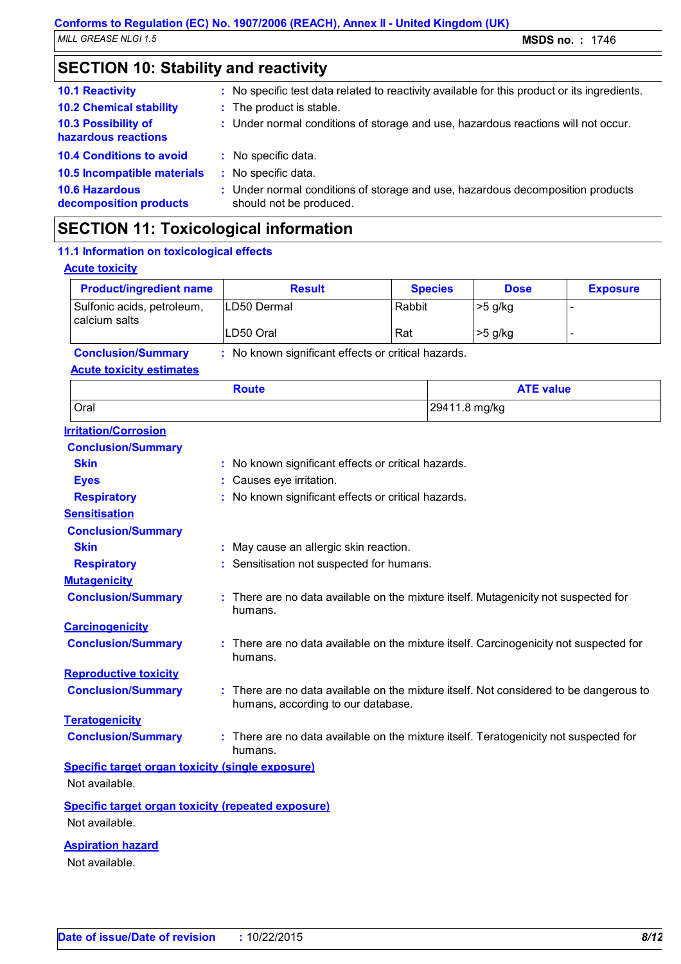| <b>SECTION 10: Stability and reactivity</b>       |  |                                                                                                           |  |
|---------------------------------------------------|--|-----------------------------------------------------------------------------------------------------------|--|
| <b>10.1 Reactivity</b>                            |  | : No specific test data related to reactivity available for this product or its ingredients.              |  |
| <b>10.2 Chemical stability</b>                    |  | : The product is stable.                                                                                  |  |
| <b>10.3 Possibility of</b><br>hazardous reactions |  | : Under normal conditions of storage and use, hazardous reactions will not occur.                         |  |
| <b>10.4 Conditions to avoid</b>                   |  | : No specific data.                                                                                       |  |
| <b>10.5 Incompatible materials</b>                |  | : No specific data.                                                                                       |  |
| <b>10.6 Hazardous</b><br>decomposition products   |  | : Under normal conditions of storage and use, hazardous decomposition products<br>should not be produced. |  |
|                                                   |  |                                                                                                           |  |

## **SECTION 11: Toxicological information**

| 11.1 Information on toxicological effects                                   |                                                                                                                            |        |                |                  |                 |
|-----------------------------------------------------------------------------|----------------------------------------------------------------------------------------------------------------------------|--------|----------------|------------------|-----------------|
| <b>Acute toxicity</b>                                                       |                                                                                                                            |        |                |                  |                 |
| <b>Product/ingredient name</b>                                              | <b>Result</b>                                                                                                              |        | <b>Species</b> | <b>Dose</b>      | <b>Exposure</b> |
| Sulfonic acids, petroleum,<br>calcium salts                                 | LD50 Dermal                                                                                                                | Rabbit |                | >5 g/kg          | $\overline{a}$  |
|                                                                             | LD50 Oral                                                                                                                  | Rat    |                | >5 g/kg          | L,              |
| <b>Conclusion/Summary</b>                                                   | : No known significant effects or critical hazards.                                                                        |        |                |                  |                 |
| <b>Acute toxicity estimates</b>                                             |                                                                                                                            |        |                |                  |                 |
|                                                                             | <b>Route</b>                                                                                                               |        |                | <b>ATE value</b> |                 |
| Oral                                                                        |                                                                                                                            |        | 29411.8 mg/kg  |                  |                 |
| <b>Irritation/Corrosion</b>                                                 |                                                                                                                            |        |                |                  |                 |
| <b>Conclusion/Summary</b>                                                   |                                                                                                                            |        |                |                  |                 |
| <b>Skin</b>                                                                 | No known significant effects or critical hazards.                                                                          |        |                |                  |                 |
| <b>Eyes</b>                                                                 | Causes eye irritation.                                                                                                     |        |                |                  |                 |
| <b>Respiratory</b>                                                          | No known significant effects or critical hazards.                                                                          |        |                |                  |                 |
| <b>Sensitisation</b>                                                        |                                                                                                                            |        |                |                  |                 |
| <b>Conclusion/Summary</b>                                                   |                                                                                                                            |        |                |                  |                 |
| <b>Skin</b>                                                                 | May cause an allergic skin reaction.                                                                                       |        |                |                  |                 |
| <b>Respiratory</b>                                                          | Sensitisation not suspected for humans.                                                                                    |        |                |                  |                 |
| <b>Mutagenicity</b>                                                         |                                                                                                                            |        |                |                  |                 |
| <b>Conclusion/Summary</b>                                                   | There are no data available on the mixture itself. Mutagenicity not suspected for<br>humans.                               |        |                |                  |                 |
| <b>Carcinogenicity</b>                                                      |                                                                                                                            |        |                |                  |                 |
| <b>Conclusion/Summary</b>                                                   | There are no data available on the mixture itself. Carcinogenicity not suspected for<br>humans.                            |        |                |                  |                 |
| <b>Reproductive toxicity</b>                                                |                                                                                                                            |        |                |                  |                 |
| <b>Conclusion/Summary</b>                                                   | There are no data available on the mixture itself. Not considered to be dangerous to<br>humans, according to our database. |        |                |                  |                 |
| <b>Teratogenicity</b>                                                       |                                                                                                                            |        |                |                  |                 |
| <b>Conclusion/Summary</b>                                                   | There are no data available on the mixture itself. Teratogenicity not suspected for<br>humans.                             |        |                |                  |                 |
| <b>Specific target organ toxicity (single exposure)</b><br>Not available.   |                                                                                                                            |        |                |                  |                 |
|                                                                             |                                                                                                                            |        |                |                  |                 |
| <b>Specific target organ toxicity (repeated exposure)</b><br>Not available. |                                                                                                                            |        |                |                  |                 |
| <b>Aspiration hazard</b>                                                    |                                                                                                                            |        |                |                  |                 |

Not available.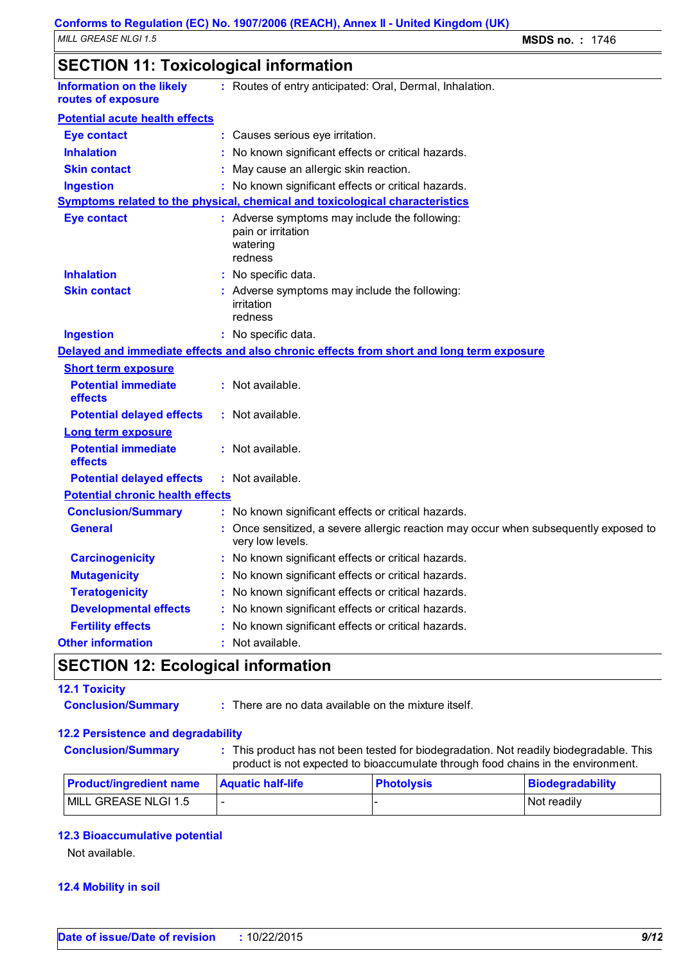## **SECTION 11: Toxicological information**

| <b>Information on the likely</b><br>routes of exposure | : Routes of entry anticipated: Oral, Dermal, Inhalation.                                                 |
|--------------------------------------------------------|----------------------------------------------------------------------------------------------------------|
| <b>Potential acute health effects</b>                  |                                                                                                          |
| <b>Eye contact</b>                                     | : Causes serious eye irritation.                                                                         |
| <b>Inhalation</b>                                      | : No known significant effects or critical hazards.                                                      |
| <b>Skin contact</b>                                    | : May cause an allergic skin reaction.                                                                   |
| <b>Ingestion</b>                                       | : No known significant effects or critical hazards.                                                      |
|                                                        | Symptoms related to the physical, chemical and toxicological characteristics                             |
| <b>Eye contact</b>                                     | : Adverse symptoms may include the following:<br>pain or irritation<br>watering<br>redness               |
| <b>Inhalation</b>                                      | : No specific data.                                                                                      |
| <b>Skin contact</b>                                    | : Adverse symptoms may include the following:<br>irritation<br>redness                                   |
| <b>Ingestion</b>                                       | : No specific data.                                                                                      |
|                                                        | Delayed and immediate effects and also chronic effects from short and long term exposure                 |
| <b>Short term exposure</b>                             |                                                                                                          |
| <b>Potential immediate</b><br>effects                  | : Not available.                                                                                         |
| <b>Potential delayed effects</b>                       | : Not available.                                                                                         |
| <b>Long term exposure</b>                              |                                                                                                          |
| <b>Potential immediate</b><br>effects                  | : Not available.                                                                                         |
| <b>Potential delayed effects</b>                       | $:$ Not available.                                                                                       |
| <b>Potential chronic health effects</b>                |                                                                                                          |
| <b>Conclusion/Summary</b>                              | : No known significant effects or critical hazards.                                                      |
| <b>General</b>                                         | : Once sensitized, a severe allergic reaction may occur when subsequently exposed to<br>very low levels. |
| <b>Carcinogenicity</b>                                 | : No known significant effects or critical hazards.                                                      |
| <b>Mutagenicity</b>                                    | : No known significant effects or critical hazards.                                                      |
| <b>Teratogenicity</b>                                  | : No known significant effects or critical hazards.                                                      |
| <b>Developmental effects</b>                           | : No known significant effects or critical hazards.                                                      |
| <b>Fertility effects</b>                               | : No known significant effects or critical hazards.                                                      |
| <b>Other information</b>                               | : Not available.                                                                                         |

## **SECTION 12: Ecological information**

#### **12.1 Toxicity**

- 
- **Conclusion/Summary :** There are no data available on the mixture itself.

#### **12.2 Persistence and degradability**

- 
- **Conclusion/Summary :** This product has not been tested for biodegradation. Not readily biodegradable. This product is not expected to bioaccumulate through food chains in the environment.

| <b>Product/ingredient name</b> | <b>Aquatic half-life</b> | <b>Photolysis</b> | Biodegradability |
|--------------------------------|--------------------------|-------------------|------------------|
| MILL GREASE NLGI 1.5           |                          |                   | Not readily      |

#### **12.3 Bioaccumulative potential**

Not available.

#### **12.4 Mobility in soil**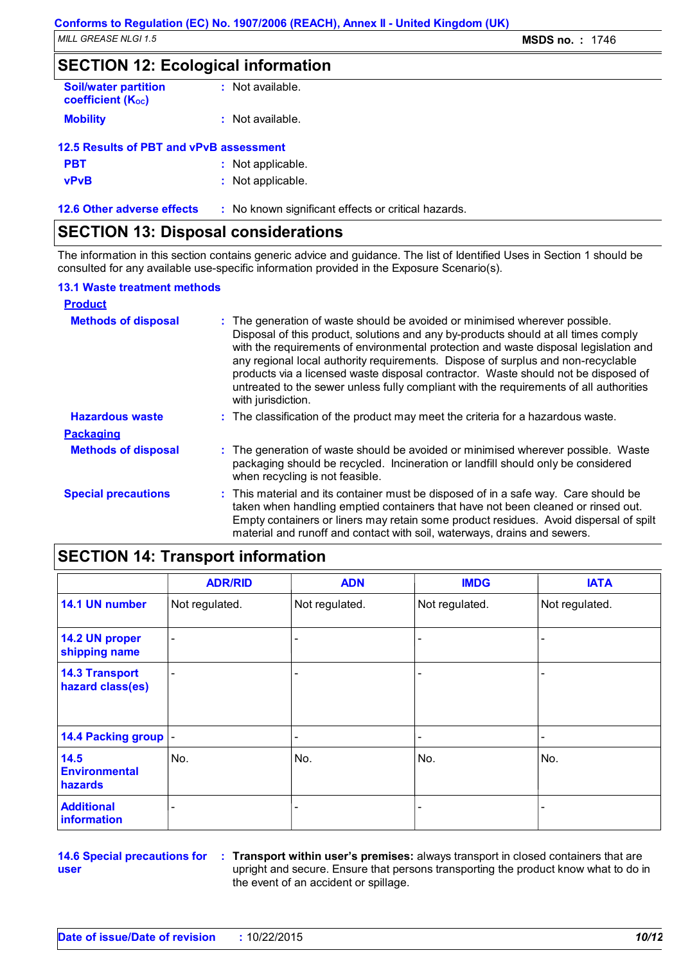### **SECTION 12: Ecological information**

| <b>Soil/water partition</b><br><b>coefficient (Koc)</b> | $:$ Not available. |
|---------------------------------------------------------|--------------------|
| <b>Mobility</b>                                         | : Not available.   |
| 12.5 Results of PBT and vPvB assessment                 |                    |
| <b>PBT</b>                                              | : Not applicable.  |

| ---         |                   |
|-------------|-------------------|
| <b>vPvB</b> | : Not applicable. |

**12.6 Other adverse effects** : No known significant effects or critical hazards.

## **SECTION 13: Disposal considerations**

The information in this section contains generic advice and guidance. The list of Identified Uses in Section 1 should be consulted for any available use-specific information provided in the Exposure Scenario(s).

#### **13.1 Waste treatment methods**

| <b>Product</b>             |                                                                                                                                                                                                                                                                                                                                                                                                                                                                                                                                                     |
|----------------------------|-----------------------------------------------------------------------------------------------------------------------------------------------------------------------------------------------------------------------------------------------------------------------------------------------------------------------------------------------------------------------------------------------------------------------------------------------------------------------------------------------------------------------------------------------------|
| <b>Methods of disposal</b> | : The generation of waste should be avoided or minimised wherever possible.<br>Disposal of this product, solutions and any by-products should at all times comply<br>with the requirements of environmental protection and waste disposal legislation and<br>any regional local authority requirements. Dispose of surplus and non-recyclable<br>products via a licensed waste disposal contractor. Waste should not be disposed of<br>untreated to the sewer unless fully compliant with the requirements of all authorities<br>with jurisdiction. |
| <b>Hazardous waste</b>     | : The classification of the product may meet the criteria for a hazardous waste.                                                                                                                                                                                                                                                                                                                                                                                                                                                                    |
| <b>Packaging</b>           |                                                                                                                                                                                                                                                                                                                                                                                                                                                                                                                                                     |
| <b>Methods of disposal</b> | : The generation of waste should be avoided or minimised wherever possible. Waste<br>packaging should be recycled. Incineration or landfill should only be considered<br>when recycling is not feasible.                                                                                                                                                                                                                                                                                                                                            |
| <b>Special precautions</b> | : This material and its container must be disposed of in a safe way. Care should be<br>taken when handling emptied containers that have not been cleaned or rinsed out.<br>Empty containers or liners may retain some product residues. Avoid dispersal of spilt<br>material and runoff and contact with soil, waterways, drains and sewers.                                                                                                                                                                                                        |

## **SECTION 14: Transport information**

|                                           | <b>ADR/RID</b>           | <b>ADN</b>     | <b>IMDG</b>    | <b>IATA</b>    |
|-------------------------------------------|--------------------------|----------------|----------------|----------------|
| 14.1 UN number                            | Not regulated.           | Not regulated. | Not regulated. | Not regulated. |
| 14.2 UN proper<br>shipping name           | $\overline{\phantom{a}}$ |                |                |                |
| <b>14.3 Transport</b><br>hazard class(es) | $\overline{\phantom{a}}$ |                |                |                |
| 14.4 Packing group  -                     |                          |                |                |                |
| 14.5<br><b>Environmental</b><br>hazards   | No.                      | No.            | No.            | No.            |
| <b>Additional</b><br>information          |                          |                |                |                |

**14.6 Special precautions for user**

**Transport within user's premises:** always transport in closed containers that are **:** upright and secure. Ensure that persons transporting the product know what to do in the event of an accident or spillage.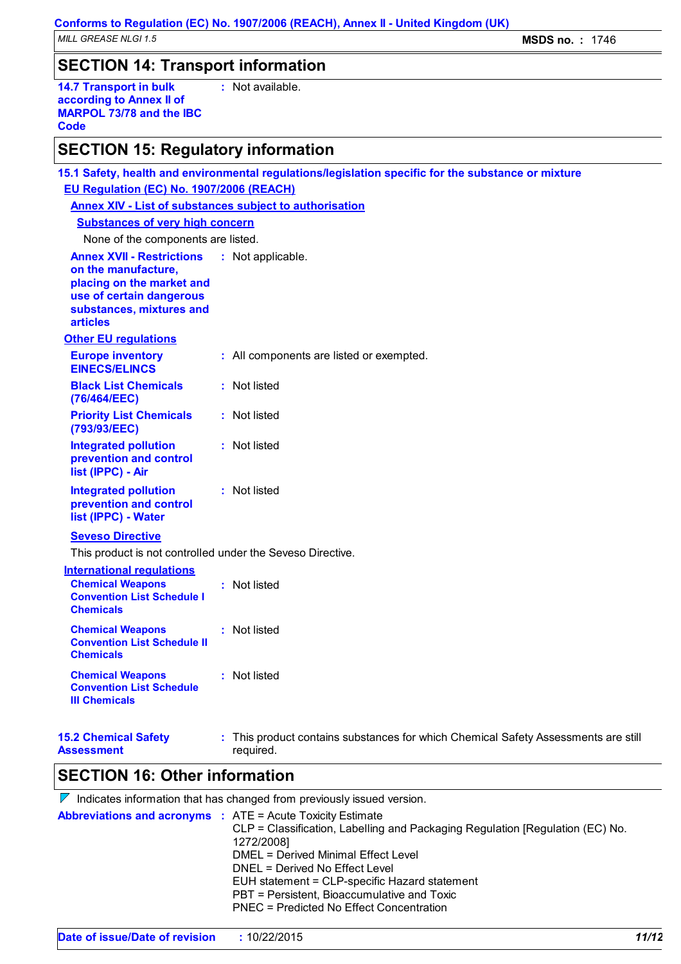**:** Not available.

## **SECTION 14: Transport information**

**14.7 Transport in bulk according to Annex II of MARPOL 73/78 and the IBC Code**

## **SECTION 15: Regulatory information**

| 15.1 Safety, health and environmental regulations/legislation specific for the substance or mixture<br>EU Regulation (EC) No. 1907/2006 (REACH)<br><b>Annex XIV - List of substances subject to authorisation</b> |                   |                                                                                                 |  |  |  |  |
|-------------------------------------------------------------------------------------------------------------------------------------------------------------------------------------------------------------------|-------------------|-------------------------------------------------------------------------------------------------|--|--|--|--|
| <b>Substances of very high concern</b>                                                                                                                                                                            |                   |                                                                                                 |  |  |  |  |
| None of the components are listed.<br><b>Annex XVII - Restrictions</b><br>on the manufacture,<br>placing on the market and<br>use of certain dangerous<br>substances, mixtures and<br><b>articles</b>             | : Not applicable. |                                                                                                 |  |  |  |  |
| <b>Other EU regulations</b>                                                                                                                                                                                       |                   |                                                                                                 |  |  |  |  |
| <b>Europe inventory</b><br><b>EINECS/ELINCS</b>                                                                                                                                                                   |                   | : All components are listed or exempted.                                                        |  |  |  |  |
| <b>Black List Chemicals</b><br>(76/464/EEC)                                                                                                                                                                       |                   | : Not listed                                                                                    |  |  |  |  |
| <b>Priority List Chemicals</b><br>(793/93/EEC)                                                                                                                                                                    |                   | : Not listed                                                                                    |  |  |  |  |
| <b>Integrated pollution</b><br>prevention and control<br>list (IPPC) - Air                                                                                                                                        |                   | : Not listed                                                                                    |  |  |  |  |
| <b>Integrated pollution</b><br>prevention and control<br>list (IPPC) - Water                                                                                                                                      |                   | : Not listed                                                                                    |  |  |  |  |
| <b>Seveso Directive</b>                                                                                                                                                                                           |                   |                                                                                                 |  |  |  |  |
| This product is not controlled under the Seveso Directive.<br><b>International requlations</b>                                                                                                                    |                   |                                                                                                 |  |  |  |  |
| <b>Chemical Weapons</b><br><b>Convention List Schedule I</b><br><b>Chemicals</b>                                                                                                                                  |                   | : Not listed                                                                                    |  |  |  |  |
| <b>Chemical Weapons</b><br><b>Convention List Schedule II</b><br><b>Chemicals</b>                                                                                                                                 |                   | : Not listed                                                                                    |  |  |  |  |
| <b>Chemical Weapons</b><br><b>Convention List Schedule</b><br><b>III Chemicals</b>                                                                                                                                |                   | : Not listed                                                                                    |  |  |  |  |
| <b>15.2 Chemical Safety</b><br><b>Assessment</b>                                                                                                                                                                  |                   | : This product contains substances for which Chemical Safety Assessments are still<br>required. |  |  |  |  |

## **SECTION 16: Other information**

| $\mathcal V$ Indicates information that has changed from previously issued version. |                                                                                                                                                                                                                                                                                                                  |  |  |  |
|-------------------------------------------------------------------------------------|------------------------------------------------------------------------------------------------------------------------------------------------------------------------------------------------------------------------------------------------------------------------------------------------------------------|--|--|--|
| <b>Abbreviations and acronyms : ATE = Acute Toxicity Estimate</b>                   | CLP = Classification, Labelling and Packaging Regulation [Regulation (EC) No.<br>1272/2008]<br>DMEL = Derived Minimal Effect Level<br>DNEL = Derived No Effect Level<br>EUH statement = CLP-specific Hazard statement<br>PBT = Persistent, Bioaccumulative and Toxic<br>PNEC = Predicted No Effect Concentration |  |  |  |
|                                                                                     |                                                                                                                                                                                                                                                                                                                  |  |  |  |